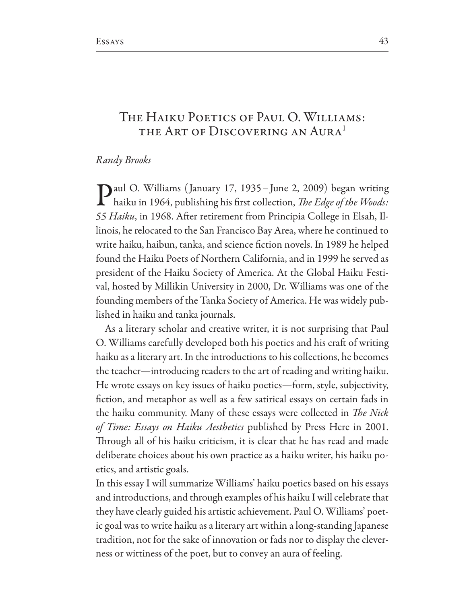## THE HAIKU POETICS OF PAUL O. WILLIAMS: THE ART OF DISCOVERING AN AURA<sup>1</sup>

## Randy Brooks

Daul O. Williams (January 17, 1935 - June 2, 2009) began writing I haiku in 1964, publishing his first collection, The Edge of the Woods: 55 Haiku, in 1968. After retirement from Principia College in Elsah, Illinois, he relocated to the San Francisco Bay Area, where he continued to write haiku, haibun, tanka, and science fiction novels. In 1989 he helped found the Haiku Poets of Northern California, and in 1999 he served as president of the Haiku Society of America. At the Global Haiku Festival, hosted by Millikin University in 2000, Dr. Williams was one of the founding members of the Tanka Society of America. He was widely published in haiku and tanka journals.

As a literary scholar and creative writer, it is not surprising that Paul O. Williams carefully developed both his poetics and his craft of writing haiku as a literary art. In the introductions to his collections, he becomes the teacher—introducing readers to the art of reading and writing haiku. He wrote essays on key issues of haiku poetics—form, style, subjectivity, fiction, and metaphor as well as a few satirical essays on certain fads in the haiku community. Many of these essays were collected in *The Nick* of Time: Essays on Haiku Aesthetics published by Press Here in 2001. Through all of his haiku criticism, it is clear that he has read and made deliberate choices about his own practice as a haiku writer, his haiku poetics, and artistic goals.

In this essay I will summarize Williams' haiku poetics based on his essays and introductions, and through examples of his haiku I will celebrate that they have clearly guided his artistic achievement. Paul O. Williams' poetic goal was to write haiku as a literary art within a long-standing Japanese tradition, not for the sake of innovation or fads nor to display the cleverness or wittiness of the poet, but to convey an aura of feeling.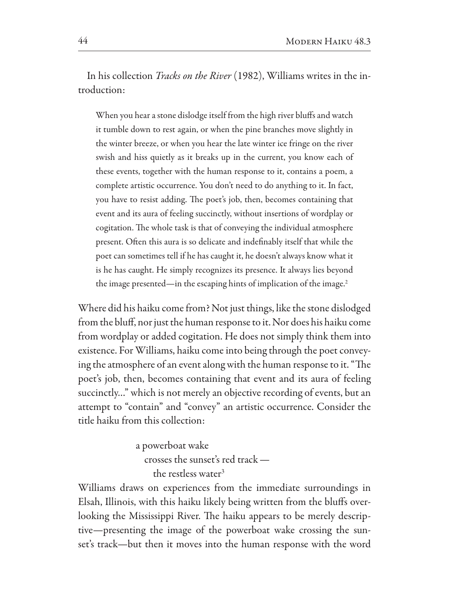In his collection *Tracks on the River* (1982), Williams writes in the introduction:

When you hear a stone dislodge itself from the high river bluffs and watch it tumble down to rest again, or when the pine branches move slightly in the winter breeze, or when you hear the late winter ice fringe on the river swish and hiss quietly as it breaks up in the current, you know each of these events, together with the human response to it, contains a poem, a complete artistic occurrence. You don't need to do anything to it. In fact, you have to resist adding. The poet's job, then, becomes containing that event and its aura of feeling succinctly, without insertions of wordplay or cogitation. The whole task is that of conveying the individual atmosphere present. Often this aura is so delicate and indefinably itself that while the poet can sometimes tell if he has caught it, he doesn't always know what it is he has caught. He simply recognizes its presence. It always lies beyond the image presented—in the escaping hints of implication of the image. $^2$ 

Where did his haiku come from? Not just things, like the stone dislodged from the bluff, nor just the human response to it. Nor does his haiku come from wordplay or added cogitation. He does not simply think them into existence. For Williams, haiku come into being through the poet conveying the atmosphere of an event along with the human response to it. "The poet's job, then, becomes containing that event and its aura of feeling succinctly..." which is not merely an objective recording of events, but an attempt to "contain" and "convey" an artistic occurrence. Consider the title haiku from this collection:

> a powerboat wake crosses the sunset's red track the restless water<sup>3</sup>

Williams draws on experiences from the immediate surroundings in Elsah, Illinois, with this haiku likely being written from the bluffs overlooking the Mississippi River. The haiku appears to be merely descriptive-presenting the image of the powerboat wake crossing the sunset's track—but then it moves into the human response with the word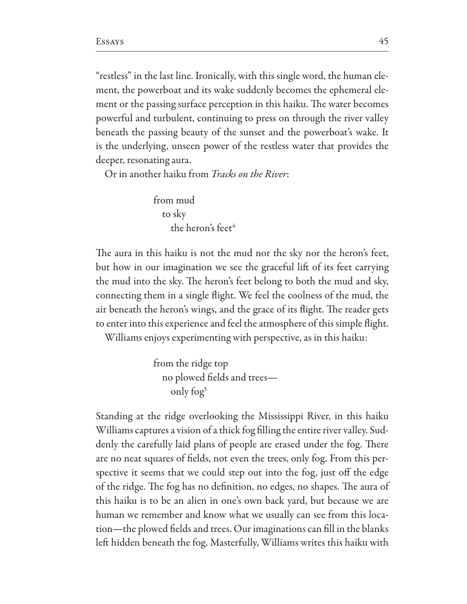"restless" in the last line. Ironically, with this single word, the human element, the powerboat and its wake suddenly becomes the ephemeral element or the passing surface perception in this haiku. The water becomes powerful and turbulent, continuing to press on through the river valley beneath the passing beauty of the sunset and the powerboat's wake. It is the underlying, unseen power of the restless water that provides the deeper, resonating aura.

Or in another haiku from Tracks on the River:

from mud to sky the heron's feet<sup>4</sup>

The aura in this haiku is not the mud nor the sky nor the heron's feet, but how in our imagination we see the graceful lift of its feet carrying the mud into the sky. The heron's feet belong to both the mud and sky, connecting them in a single flight. We feel the coolness of the mud, the air beneath the heron's wings, and the grace of its flight. The reader gets to enter into this experience and feel the atmosphere of this simple flight.

Williams enjoys experimenting with perspective, as in this haiku:

from the ridge top no plowed fields and treesonly fog<sup>5</sup>

Standing at the ridge overlooking the Mississippi River, in this haiku Williams captures a vision of a thick fog filling the entire river valley. Suddenly the carefully laid plans of people are erased under the fog. There are no neat squares of fields, not even the trees, only fog. From this perspective it seems that we could step out into the fog, just off the edge of the ridge. The fog has no definition, no edges, no shapes. The aura of this haiku is to be an alien in one's own back yard, but because we are human we remember and know what we usually can see from this location-the plowed fields and trees. Our imaginations can fill in the blanks left hidden beneath the fog. Masterfully, Williams writes this haiku with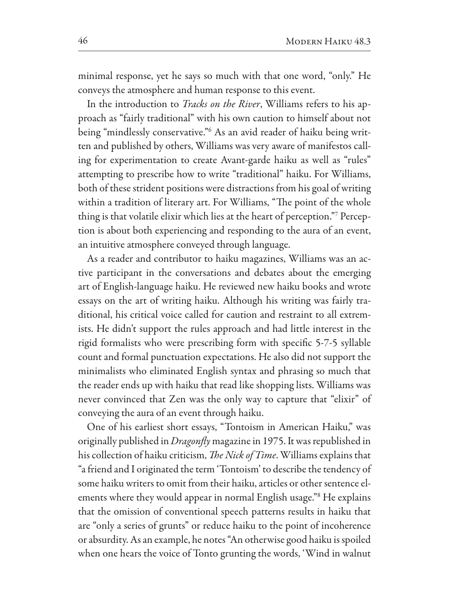minimal response, yet he says so much with that one word, "only." He conveys the atmosphere and human response to this event.

In the introduction to *Tracks on the River*, Williams refers to his approach as "fairly traditional" with his own caution to himself about not being "mindlessly conservative."<sup>6</sup> As an avid reader of haiku being written and published by others, Williams was very aware of manifestos calling for experimentation to create Avant-garde haiku as well as "rules" attempting to prescribe how to write "traditional" haiku. For Williams, both of these strident positions were distractions from his goal of writing within a tradition of literary art. For Williams, "The point of the whole thing is that volatile elixir which lies at the heart of perception." Perception is about both experiencing and responding to the aura of an event, an intuitive atmosphere conveyed through language.

As a reader and contributor to haiku magazines, Williams was an active participant in the conversations and debates about the emerging art of English-language haiku. He reviewed new haiku books and wrote essays on the art of writing haiku. Although his writing was fairly traditional, his critical voice called for caution and restraint to all extremists. He didn't support the rules approach and had little interest in the rigid formalists who were prescribing form with specific 5-7-5 syllable count and formal punctuation expectations. He also did not support the minimalists who eliminated English syntax and phrasing so much that the reader ends up with haiku that read like shopping lists. Williams was never convinced that Zen was the only way to capture that "elixir" of conveying the aura of an event through haiku.

One of his earliest short essays, "Tontoism in American Haiku," was originally published in Dragonfly magazine in 1975. It was republished in his collection of haiku criticism, The Nick of Time. Williams explains that a friend and I originated the term 'Tontoism' to describe the tendency of " some haiku writers to omit from their haiku, articles or other sentence elements where they would appear in normal English usage."<sup>8</sup> He explains that the omission of conventional speech patterns results in haiku that are "only a series of grunts" or reduce haiku to the point of incoherence or absurdity. As an example, he notes "An otherwise good haiku is spoiled when one hears the voice of Tonto grunting the words, 'Wind in walnut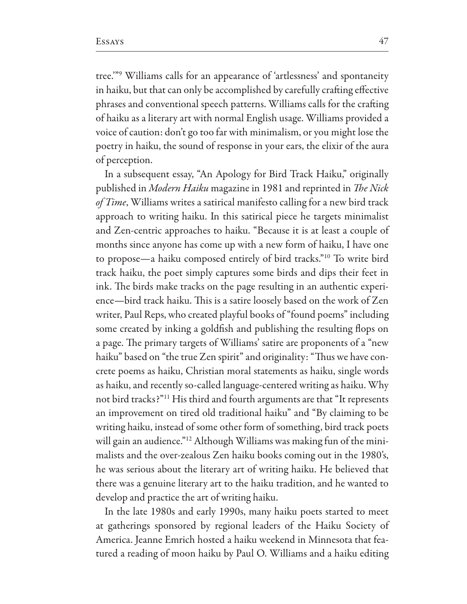tree."<sup>9</sup> Williams calls for an appearance of 'artlessness' and spontaneity in haiku, but that can only be accomplished by carefully crafting effective phrases and conventional speech patterns. Williams calls for the crafting of haiku as a literary art with normal English usage. Williams provided a voice of caution: don't go too far with minimalism, or you might lose the poetry in haiku, the sound of response in your ears, the elixir of the aura of perception.

In a subsequent essay, "An Apology for Bird Track Haiku," originally published in Modern Haiku magazine in 1981 and reprinted in The Nick of Time, Williams writes a satirical manifesto calling for a new bird track approach to writing haiku. In this satirical piece he targets minimalist and Zen-centric approaches to haiku. "Because it is at least a couple of months since anyone has come up with a new form of haiku, I have one to propose—a haiku composed entirely of bird tracks."<sup>10</sup> To write bird track haiku, the poet simply captures some birds and dips their feet in ink. The birds make tracks on the page resulting in an authentic experience—bird track haiku. This is a satire loosely based on the work of Zen writer, Paul Reps, who created playful books of "found poems" including some created by inking a goldfish and publishing the resulting flops on a page. The primary targets of Williams' satire are proponents of a "new haiku" based on "the true Zen spirit" and originality: "Thus we have concrete poems as haiku, Christian moral statements as haiku, single words as haiku, and recently so-called language-centered writing as haiku. Why not bird tracks?"<sup>11</sup> His third and fourth arguments are that "It represents an improvement on tired old traditional haiku" and "By claiming to be writing haiku, instead of some other form of something, bird track poets will gain an audience."<sup>12</sup> Although Williams was making fun of the minimalists and the over-zealous Zen haiku books coming out in the 1980's, he was serious about the literary art of writing haiku. He believed that there was a genuine literary art to the haiku tradition, and he wanted to develop and practice the art of writing haiku.

In the late 1980s and early 1990s, many haiku poets started to meet at gatherings sponsored by regional leaders of the Haiku Society of America. Jeanne Emrich hosted a haiku weekend in Minnesota that featured a reading of moon haiku by Paul O. Williams and a haiku editing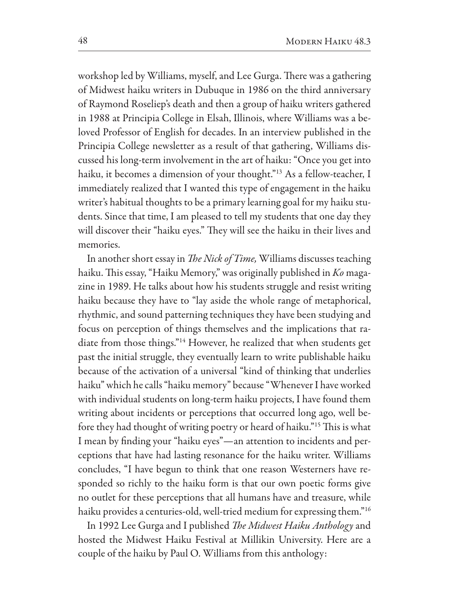workshop led by Williams, myself, and Lee Gurga. There was a gathering of Midwest haiku writers in Dubuque in 1986 on the third anniversary of Raymond Roseliep's death and then a group of haiku writers gathered in 1988 at Principia College in Elsah, Illinois, where Williams was a beloved Professor of English for decades. In an interview published in the Principia College newsletter as a result of that gathering, Williams discussed his long-term involvement in the art of haiku: "Once you get into haiku, it becomes a dimension of your thought."<sup>13</sup> As a fellow-teacher, I immediately realized that I wanted this type of engagement in the haiku writer's habitual thoughts to be a primary learning goal for my haiku students. Since that time, I am pleased to tell my students that one day they will discover their "haiku eyes." They will see the haiku in their lives and memories.

In another short essay in The Nick of Time, Williams discusses teaching haiku. This essay, "Haiku Memory," was originally published in Ko magazine in 1989. He talks about how his students struggle and resist writing haiku because they have to "lay aside the whole range of metaphorical, rhythmic, and sound patterning techniques they have been studying and focus on perception of things themselves and the implications that radiate from those things."<sup>14</sup> However, he realized that when students get past the initial struggle, they eventually learn to write publishable haiku because of the activation of a universal "kind of thinking that underlies haiku" which he calls "haiku memory" because "Whenever I have worked with individual students on long-term haiku projects, I have found them writing about incidents or perceptions that occurred long ago, well before they had thought of writing poetry or heard of haiku."<sup>15</sup> This is what I mean by finding your "haiku eyes"—an attention to incidents and perceptions that have had lasting resonance for the haiku writer. Williams concludes, "I have begun to think that one reason Westerners have responded so richly to the haiku form is that our own poetic forms give no outlet for these perceptions that all humans have and treasure, while haiku provides a centuries-old, well-tried medium for expressing them."<sup>16</sup>

In 1992 Lee Gurga and I published *The Midwest Haiku Anthology* and hosted the Midwest Haiku Festival at Millikin University. Here are a couple of the haiku by Paul O. Williams from this anthology: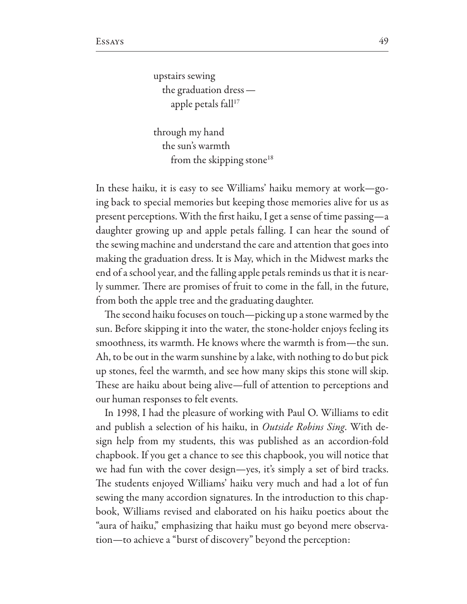upstairs sewing the graduation dress  $$ apple petals fall<sup>17</sup>

through my hand the sun's warmth from the skipping stone<sup>18</sup>

In these haiku, it is easy to see Williams' haiku memory at work-going back to special memories but keeping those memories alive for us as present perceptions. With the first haiku, I get a sense of time passing—a daughter growing up and apple petals falling. I can hear the sound of the sewing machine and understand the care and attention that goes into making the graduation dress. It is May, which in the Midwest marks the end of a school year, and the falling apple petals reminds us that it is nearly summer. There are promises of fruit to come in the fall, in the future, from both the apple tree and the graduating daughter.

The second haiku focuses on touch—picking up a stone warmed by the sun. Before skipping it into the water, the stone-holder enjoys feeling its smoothness, its warmth. He knows where the warmth is from—the sun. Ah, to be out in the warm sunshine by a lake, with nothing to do but pick up stones, feel the warmth, and see how many skips this stone will skip. These are haiku about being alive—full of attention to perceptions and our human responses to felt events.

In 1998, I had the pleasure of working with Paul O. Williams to edit and publish a selection of his haiku, in Outside Robins Sing. With design help from my students, this was published as an accordion-fold chapbook. If you get a chance to see this chapbook, you will notice that we had fun with the cover design—yes, it's simply a set of bird tracks. The students enjoyed Williams' haiku very much and had a lot of fun sewing the many accordion signatures. In the introduction to this chapbook, Williams revised and elaborated on his haiku poetics about the "aura of haiku," emphasizing that haiku must go beyond mere observation-to achieve a "burst of discovery" beyond the perception: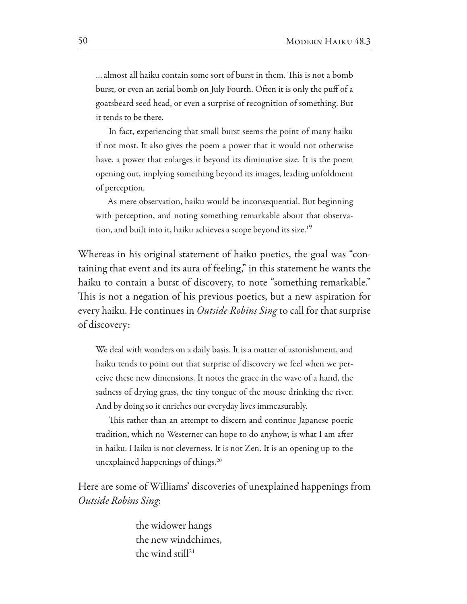... almost all haiku contain some sort of burst in them. This is not a bomb burst, or even an aerial bomb on July Fourth. Often it is only the puff of a goatsbeard seed head, or even a surprise of recognition of something. But it tends to be there.

In fact, experiencing that small burst seems the point of many haiku if not most. It also gives the poem a power that it would not otherwise have, a power that enlarges it beyond its diminutive size. It is the poem opening out, implying something beyond its images, leading unfoldment of perception.

As mere observation, haiku would be inconsequential. But beginning with perception, and noting something remarkable about that observation, and built into it, haiku achieves a scope beyond its size.<sup>19</sup>

Whereas in his original statement of haiku poetics, the goal was "containing that event and its aura of feeling," in this statement he wants the haiku to contain a burst of discovery, to note "something remarkable." This is not a negation of his previous poetics, but a new aspiration for every haiku. He continues in Outside Robins Sing to call for that surprise of discovery:

We deal with wonders on a daily basis. It is a matter of astonishment, and haiku tends to point out that surprise of discovery we feel when we perceive these new dimensions. It notes the grace in the wave of a hand, the sadness of drying grass, the tiny tongue of the mouse drinking the river. And by doing so it enriches our everyday lives immeasurably.

This rather than an attempt to discern and continue Japanese poetic tradition, which no Westerner can hope to do anyhow, is what I am after in haiku. Haiku is not cleverness. It is not Zen. It is an opening up to the unexplained happenings of things.<sup>20</sup>

Here are some of Williams' discoveries of unexplained happenings from Outside Robins Sing:

> the widower hangs the new windchimes, the wind still<sup>21</sup>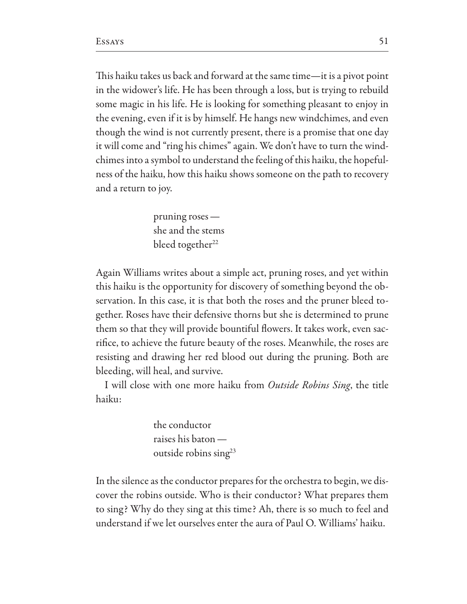This haiku takes us back and forward at the same time-it is a pivot point in the widower's life. He has been through a loss, but is trying to rebuild some magic in his life. He is looking for something pleasant to enjoy in the evening, even if it is by himself. He hangs new windchimes, and even though the wind is not currently present, there is a promise that one day it will come and "ring his chimes" again. We don't have to turn the windchimes into a symbol to understand the feeling of this haiku, the hopefulness of the haiku, how this haiku shows someone on the path to recovery and a return to joy.

> pruning roses  $$ she and the stems bleed together<sup>22</sup>

Again Williams writes about a simple act, pruning roses, and yet within this haiku is the opportunity for discovery of something beyond the observation. In this case, it is that both the roses and the pruner bleed together. Roses have their defensive thorns but she is determined to prune them so that they will provide bountiful flowers. It takes work, even sacrifice, to achieve the future beauty of the roses. Meanwhile, the roses are resisting and drawing her red blood out during the pruning. Both are bleeding, will heal, and survive.

I will close with one more haiku from Outside Robins Sing, the title haiku:

> the conductor raises his baton outside robins sing<sup>23</sup>

In the silence as the conductor prepares for the orchestra to begin, we discover the robins outside. Who is their conductor? What prepares them to sing? Why do they sing at this time? Ah, there is so much to feel and understand if we let ourselves enter the aura of Paul O. Williams' haiku.